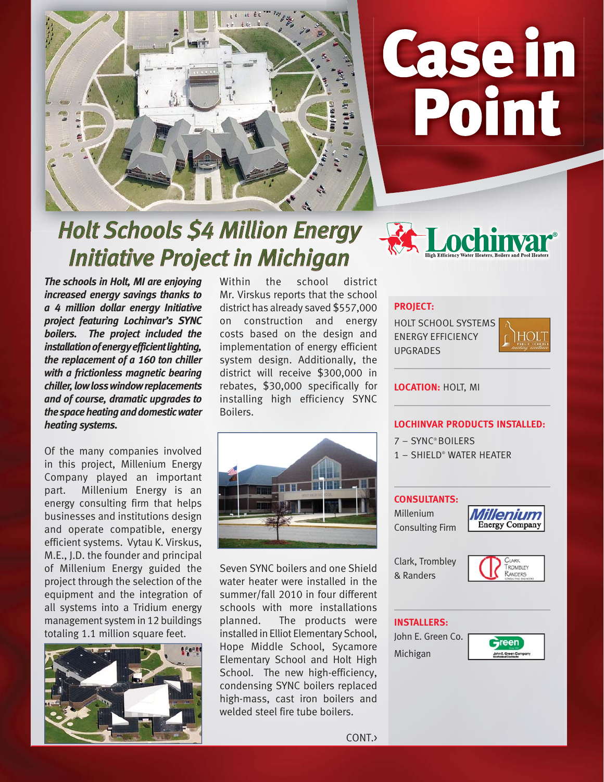

# Casein Point

**ochinya** 

# **Holt Schools \$4 Million Energy** *Initiative Project in Michigan nitiative Project Michigan*

*The schools in Holt, MI are enjoying increased energy savings thanks to a 4 million dollar energy Initiative project featuring Lochinvar's SYNC boilers. The project included the installation of energy efficient lighting, the replacement of a 160 ton chiller with a frictionless magnetic bearing chiller, low loss window replacements and of course, dramatic upgrades to the space heating and domestic water heating systems.*

Of the many companies involved in this project, Millenium Energy Company played an important part. Millenium Energy is an energy consulting firm that helps businesses and institutions design and operate compatible, energy efficient systems. Vytau K. Virskus, M.E., J.D. the founder and principal of Millenium Energy guided the project through the selection of the equipment and the integration of all systems into a Tridium energy management system in 12 buildings totaling 1.1 million square feet.



Within the school district Mr. Virskus reports that the school district has already saved \$557,000 on construction and energy costs based on the design and implementation of energy efficient system design. Additionally, the district will receive \$300,000 in rebates, \$30,000 specifically for installing high efficiency SYNC Boilers.

Seven SYNC boilers and one Shield water heater were installed in the summer/fall 2010 in four different schools with more installations planned. The products were installed in Elliot Elementary School, Hope Middle School, Sycamore Elementary School and Holt High School. The new high-efficiency, condensing SYNC boilers replaced high-mass, cast iron boilers and welded steel fire tube boilers.



HOLT SCHOOL SYSTEMS ENERGY EFFICIENCY UPGRADES



**LOCATION:** HOLT, MI

## **LOCHINVAR PRODUCTS INSTALLED:**

- 7 SYNC® BOILERS
- 1 SHIELD® WATER HEATER

### **CONSULTANTS:**

Millenium Consulting Firm



Clark, Trombley & Randers



#### **INSTALLERS:**

John E. Green Co. Michigan



CONT.>